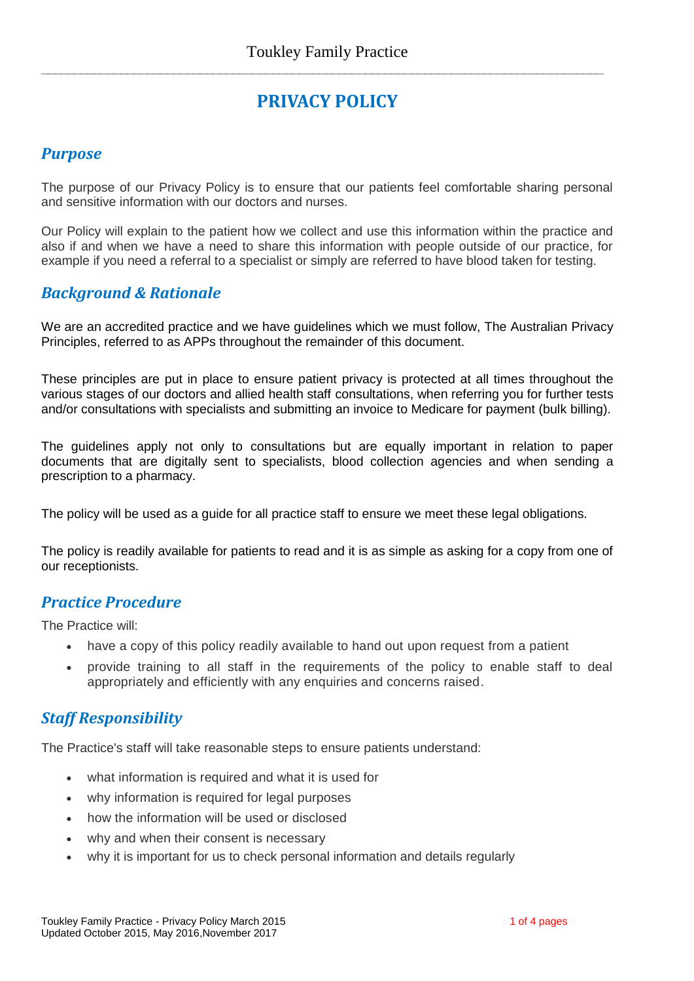**\_\_\_\_\_\_\_\_\_\_\_\_\_\_\_\_\_\_\_\_\_\_\_\_\_\_\_\_\_\_\_\_\_\_\_\_\_\_\_\_\_\_\_\_\_\_\_\_\_\_\_\_\_\_\_\_\_\_\_\_\_\_\_\_\_\_\_\_\_\_\_\_\_\_\_\_\_\_\_\_\_\_\_\_\_**

# **PRIVACY POLICY**

#### *Purpose*

The purpose of our Privacy Policy is to ensure that our patients feel comfortable sharing personal and sensitive information with our doctors and nurses.

Our Policy will explain to the patient how we collect and use this information within the practice and also if and when we have a need to share this information with people outside of our practice, for example if you need a referral to a specialist or simply are referred to have blood taken for testing.

#### *Background & Rationale*

We are an accredited practice and we have guidelines which we must follow, The Australian Privacy Principles, referred to as APPs throughout the remainder of this document.

These principles are put in place to ensure patient privacy is protected at all times throughout the various stages of our doctors and allied health staff consultations, when referring you for further tests and/or consultations with specialists and submitting an invoice to Medicare for payment (bulk billing).

The guidelines apply not only to consultations but are equally important in relation to paper documents that are digitally sent to specialists, blood collection agencies and when sending a prescription to a pharmacy.

The policy will be used as a guide for all practice staff to ensure we meet these legal obligations.

The policy is readily available for patients to read and it is as simple as asking for a copy from one of our receptionists.

#### *Practice Procedure*

The Practice will:

- have a copy of this policy readily available to hand out upon request from a patient
- provide training to all staff in the requirements of the policy to enable staff to deal appropriately and efficiently with any enquiries and concerns raised.

## *Staff Responsibility*

The Practice's staff will take reasonable steps to ensure patients understand:

- what information is required and what it is used for
- why information is required for legal purposes
- how the information will be used or disclosed
- why and when their consent is necessary
- why it is important for us to check personal information and details regularly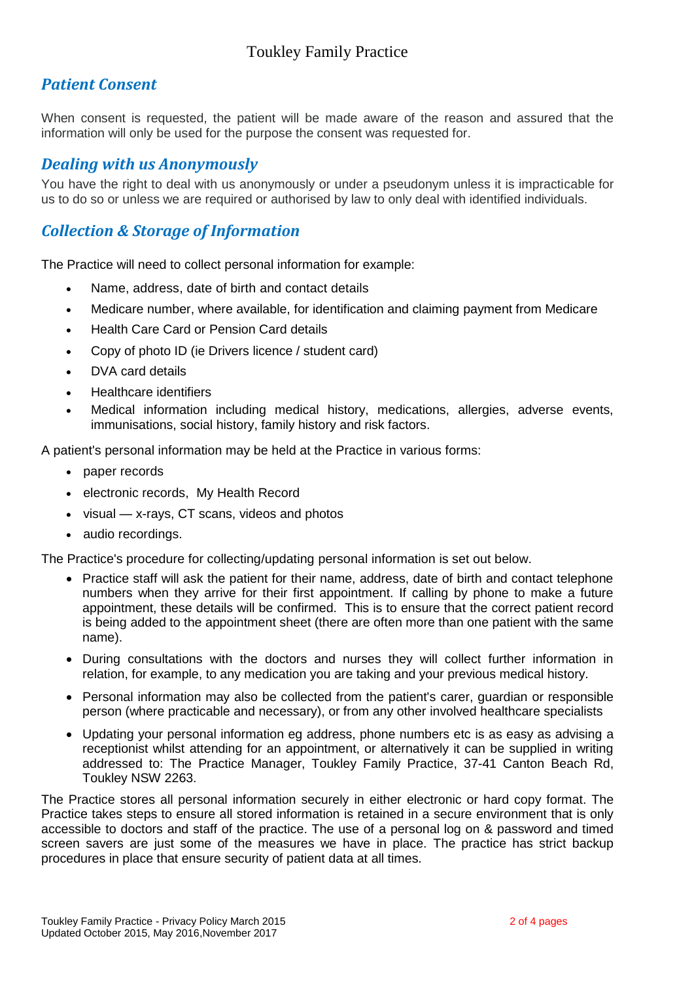## *Patient Consent*

When consent is requested, the patient will be made aware of the reason and assured that the information will only be used for the purpose the consent was requested for.

#### *Dealing with us Anonymously*

You have the right to deal with us anonymously or under a pseudonym unless it is impracticable for us to do so or unless we are required or authorised by law to only deal with identified individuals.

## *Collection & Storage of Information*

The Practice will need to collect personal information for example:

- Name, address, date of birth and contact details
- Medicare number, where available, for identification and claiming payment from Medicare
- Health Care Card or Pension Card details
- Copy of photo ID (ie Drivers licence / student card)
- DVA card details
- Healthcare identifiers
- Medical information including medical history, medications, allergies, adverse events, immunisations, social history, family history and risk factors.

A patient's personal information may be held at the Practice in various forms:

- paper records
- electronic records, My Health Record
- visual x-rays, CT scans, videos and photos
- audio recordings.

The Practice's procedure for collecting/updating personal information is set out below.

- Practice staff will ask the patient for their name, address, date of birth and contact telephone numbers when they arrive for their first appointment. If calling by phone to make a future appointment, these details will be confirmed. This is to ensure that the correct patient record is being added to the appointment sheet (there are often more than one patient with the same name).
- During consultations with the doctors and nurses they will collect further information in relation, for example, to any medication you are taking and your previous medical history.
- Personal information may also be collected from the patient's carer, guardian or responsible person (where practicable and necessary), or from any other involved healthcare specialists
- Updating your personal information eg address, phone numbers etc is as easy as advising a receptionist whilst attending for an appointment, or alternatively it can be supplied in writing addressed to: The Practice Manager, Toukley Family Practice, 37-41 Canton Beach Rd, Toukley NSW 2263.

The Practice stores all personal information securely in either electronic or hard copy format. The Practice takes steps to ensure all stored information is retained in a secure environment that is only accessible to doctors and staff of the practice. The use of a personal log on & password and timed screen savers are just some of the measures we have in place. The practice has strict backup procedures in place that ensure security of patient data at all times.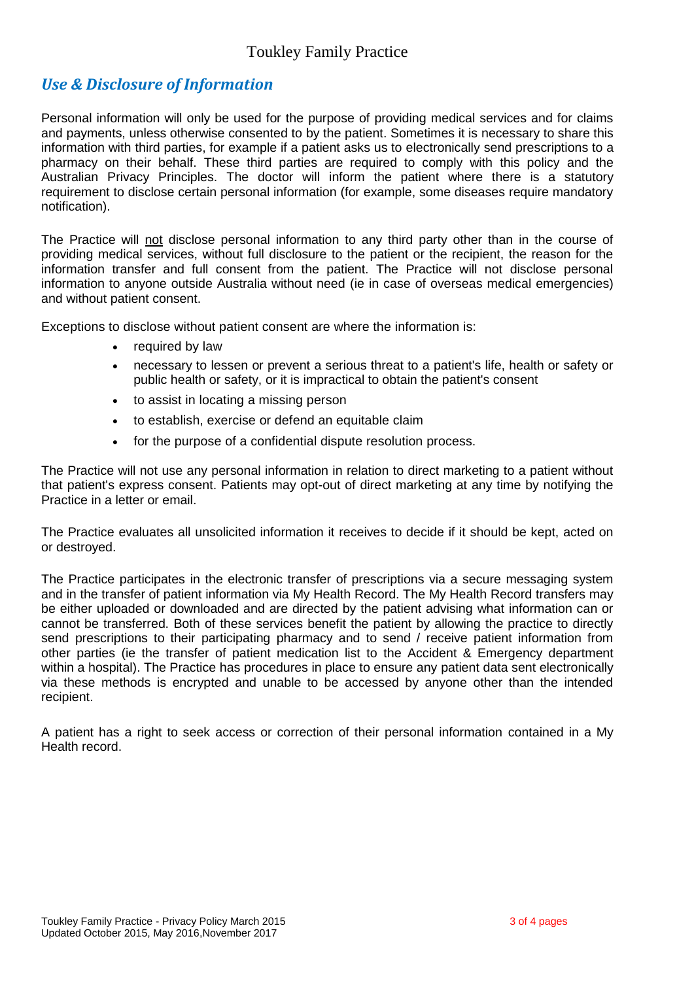## *Use & Disclosure of Information*

Personal information will only be used for the purpose of providing medical services and for claims and payments, unless otherwise consented to by the patient. Sometimes it is necessary to share this information with third parties, for example if a patient asks us to electronically send prescriptions to a pharmacy on their behalf. These third parties are required to comply with this policy and the Australian Privacy Principles. The doctor will inform the patient where there is a statutory requirement to disclose certain personal information (for example, some diseases require mandatory notification).

The Practice will not disclose personal information to any third party other than in the course of providing medical services, without full disclosure to the patient or the recipient, the reason for the information transfer and full consent from the patient. The Practice will not disclose personal information to anyone outside Australia without need (ie in case of overseas medical emergencies) and without patient consent.

Exceptions to disclose without patient consent are where the information is:

- required by law
- necessary to lessen or prevent a serious threat to a patient's life, health or safety or public health or safety, or it is impractical to obtain the patient's consent
- to assist in locating a missing person
- to establish, exercise or defend an equitable claim
- for the purpose of a confidential dispute resolution process.

The Practice will not use any personal information in relation to direct marketing to a patient without that patient's express consent. Patients may opt-out of direct marketing at any time by notifying the Practice in a letter or email.

The Practice evaluates all unsolicited information it receives to decide if it should be kept, acted on or destroyed.

The Practice participates in the electronic transfer of prescriptions via a secure messaging system and in the transfer of patient information via My Health Record. The My Health Record transfers may be either uploaded or downloaded and are directed by the patient advising what information can or cannot be transferred. Both of these services benefit the patient by allowing the practice to directly send prescriptions to their participating pharmacy and to send / receive patient information from other parties (ie the transfer of patient medication list to the Accident & Emergency department within a hospital). The Practice has procedures in place to ensure any patient data sent electronically via these methods is encrypted and unable to be accessed by anyone other than the intended recipient.

A patient has a right to seek access or correction of their personal information contained in a My Health record.